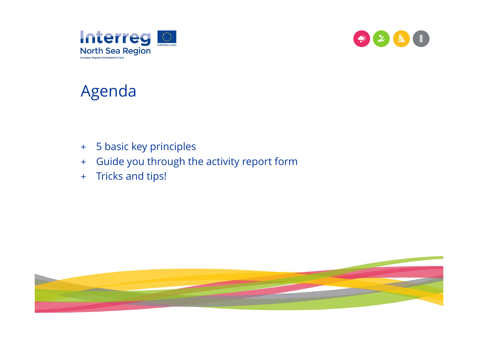



# Agenda

- + 5 basic key principles
- $+$ Guide you through the activity report form
- $+$ Tricks and tips!

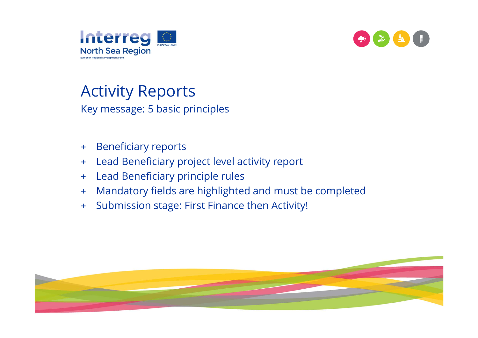



## Activity Reports

Key message: 5 basic principles

- $+$ Beneficiary reports
- $+$ Lead Beneficiary project level activity report
- +Lead Beneficiary principle rules
- +Mandatory fields are highlighted and must be completed
- +Submission stage: First Finance then Activity!

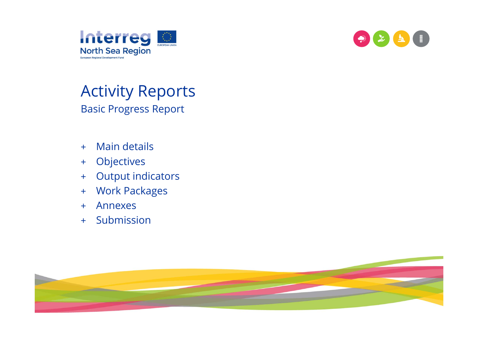



### Activity Reports Basic Progress Report

- $+$ Main details
- $+$ **Objectives**
- +Output indicators
- + Work Packages
- +Annexes
- $+$ Submission

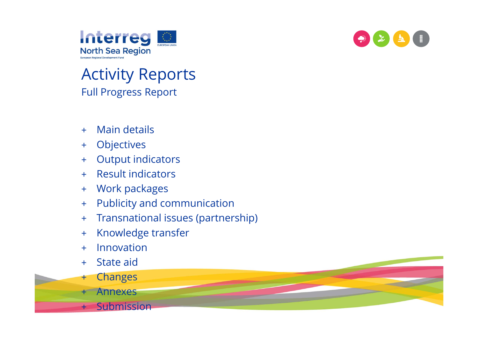



## Activity Reports Full Progress Report

- +Main details
- +**Objectives**
- +Output indicators
- $+$ Result indicators
- +Work packages
- +Publicity and communication
- +Transnational issues (partnership)
- +Knowledge transfer
- +Innovation
- $+$ State aid
- +Changes
- $+$ Annexes
- +**Submission**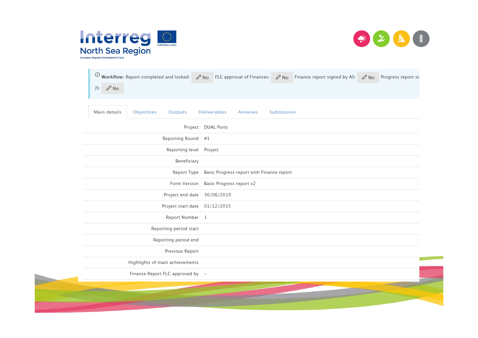



| $JS: \mathscr{D}$ No                                                                  | $\overline{0}$ Workflow: Report completed and locked: $\sqrt{N_0}$ FLC approval of Finances: $\sqrt{N_0}$ Finance report signed by AS: $\sqrt{N_0}$ Progress report signed |
|---------------------------------------------------------------------------------------|----------------------------------------------------------------------------------------------------------------------------------------------------------------------------|
| Objectives<br>Main details<br>Outputs<br><b>Deliverables</b><br>Submission<br>Annexes |                                                                                                                                                                            |
| Project DUAL Ports                                                                    |                                                                                                                                                                            |
| Reporting Round #1                                                                    |                                                                                                                                                                            |
| Reporting level Project                                                               |                                                                                                                                                                            |
| Beneficiary                                                                           |                                                                                                                                                                            |
| Report Type Basic Progress report with Finance report                                 |                                                                                                                                                                            |
| Form Version Basic Progress report v2                                                 |                                                                                                                                                                            |
| Project end date 30/06/2019                                                           |                                                                                                                                                                            |
| Project start date 01/12/2015                                                         |                                                                                                                                                                            |
| Report Number 1                                                                       |                                                                                                                                                                            |
| Reporting period start                                                                |                                                                                                                                                                            |
| Reporting period end                                                                  |                                                                                                                                                                            |
| <b>Previous Report</b>                                                                |                                                                                                                                                                            |
| Highlights of main achievements                                                       |                                                                                                                                                                            |
| Finance Report FLC approved by -                                                      |                                                                                                                                                                            |
|                                                                                       |                                                                                                                                                                            |
|                                                                                       |                                                                                                                                                                            |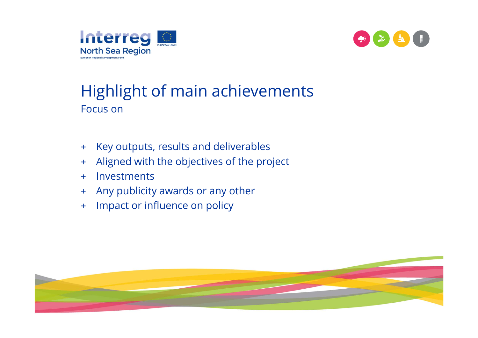



## Highlight of main achievements Focus on

- $+$ Key outputs, results and deliverables
- $+$ Aligned with the objectives of the project
- +Investments
- $+$   $-$ Any publicity awards or any other
- $+$ Impact or influence on policy

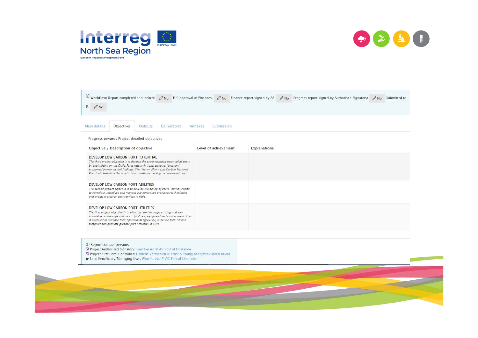



| $\circled{0}$ Workflow: Report completed and locked: $\circled{0}$ No FLC approval of Finances: $\circled{0}$ No Finance report signed by AS:<br>$JS: \mathscr{D}$ No                                                                                                                                                                                |                       | $\mathscr{O}$ No    | Progress report signed by Authorised Signatory: | $\mathscr{O}$ No | Submitted to |
|------------------------------------------------------------------------------------------------------------------------------------------------------------------------------------------------------------------------------------------------------------------------------------------------------------------------------------------------------|-----------------------|---------------------|-------------------------------------------------|------------------|--------------|
| Objectives<br><b>Outputs</b><br><b>Deliverables</b><br>Main details                                                                                                                                                                                                                                                                                  | Submission<br>Annexes |                     |                                                 |                  |              |
| Progress towards Project detailed objectives                                                                                                                                                                                                                                                                                                         |                       |                     |                                                 |                  |              |
| Objective / Description of objective                                                                                                                                                                                                                                                                                                                 | Level of achievement  | <b>Explanations</b> |                                                 |                  |              |
| DEVELOP LOW CARBON PORT POTENTIAL<br>The third project objective is to develop the eco-innovation potential of ports<br>by capitalizing on the DUAL Ports research, concrete experience and<br>economic/environmental findings. The 'Action Plan - Low Carbon Regional<br>Ports" will translate the results into coordinated policy recommendations. |                       |                     |                                                 |                  |              |
| DEVELOP LOW CARBON PORT ABILITIES<br>The second project objective is to develop the ability of ports' human capital<br>to stimulate, introduce and manage eco-innovative processes/technologies<br>and promote greener port services in REPs.                                                                                                        |                       |                     |                                                 |                  |              |
| DEVELOP LOW CARBON PORT UTILITIES<br>The first project objective is to plan, test and manage existing and eco-<br>innovative technologies on ports' facilities, equipment and environment. This<br>is expected to increase their operational efficiency, minimise their carbon<br>footprint and promote greener port activities in REPs.             |                       |                     |                                                 |                  |              |

(i) Report contact persons © Hepother Contact Persons<br> **Manufact Authorised Signatory:** Paul Gerard © AG Port of Oostende<br> **Manufact Project First Level Controller:** Danielle Vermaelen © Ernst & Young Bedrijfsrevisoren bcvba<br>
H Lead Beneficiary/Man

- 
- 

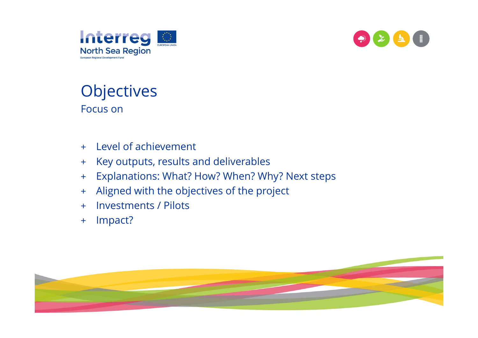



### **Objectives** Focus on

- + Level of achievement
- $+$ Key outputs, results and deliverables
- +Explanations: What? How? When? Why? Next steps
- +Aligned with the objectives of the project
- +Investments / Pilots
- +Impact?

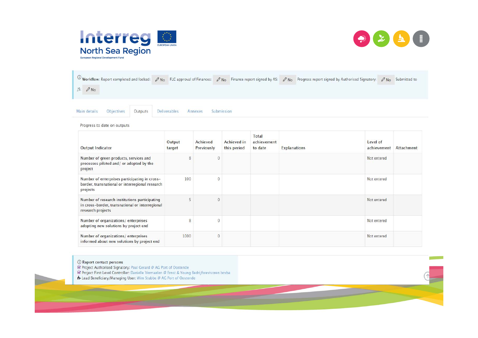



 $\overline{0}$  Workflow: Report completed and locked:  $\mathcal{O}$  No FLC approval of Finances:  $\mathcal{O}$  No Finance report signed by AS:  $\mathcal{O}$  No Progress report signed by Authorised Signatory:  $\mathcal{O}$  No Submitted to  $JS: \oslash No$ 

Main details Objectives Outputs **Deliverables** Annexes

Submission

Progress to date on outputs

| <b>Output Indicator</b>                                                                                               | Output<br>target | Achieved<br>Previously | <b>Achieved</b> in<br>this period | Total<br>achievement<br>to date | <b>Explanations</b> | Level of<br>achievement | Attachment |
|-----------------------------------------------------------------------------------------------------------------------|------------------|------------------------|-----------------------------------|---------------------------------|---------------------|-------------------------|------------|
| Number of green products, services and<br>processes piloted and/ or adopted by the<br>project                         | 8                | $\overline{0}$         |                                   |                                 |                     | Not entered             |            |
| Number of enterprises participating in cross-<br>border, transnational or interregional research<br>projects          | 100              | $\mathbf 0$            |                                   |                                 |                     | Not entered             |            |
| Number of research institutions participating<br>in cross-border, transnational or interregional<br>research projects |                  | 0                      |                                   |                                 |                     | Not entered             |            |
| Number of organizations/enterprises<br>adopting new solutions by project end                                          | 8                | 0                      |                                   |                                 |                     | Not entered             |            |
| Number of organizations/enterprises<br>informed about new solutions by project end                                    | 1000             | $\overline{0}$         |                                   |                                 |                     | Not entered             |            |

(i) Report contact persons

■ Project Authorised Signatory: Paul Gerard @ AG Port of Oostende

■ Project First Level Controller: Danielle Vermaelen @ Ernst & Young Bedrijfsrevisoren bovba

+ Lead Beneficiary/Managing User: Wim Stubbe @ AG Port of Oostende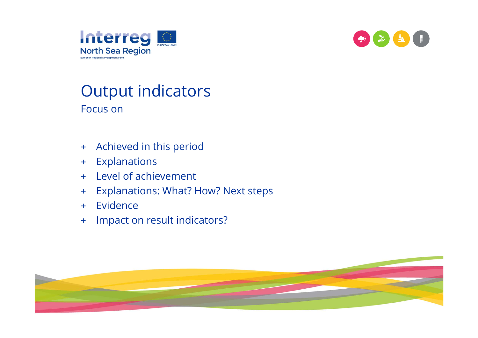



#### Output indicators Focus on

- + Achieved in this period
- $+$ Explanations
- $+$ Level of achievement
- $+$   $-$ Explanations: What? How? Next steps
- $+$   $-$ Evidence
- $+$ Impact on result indicators?

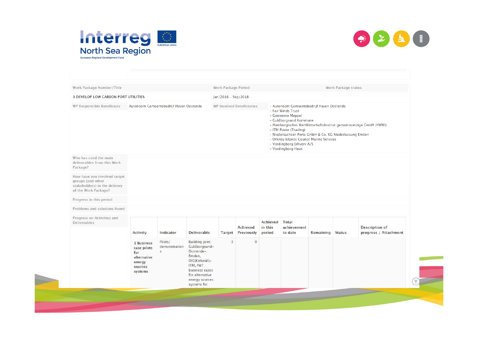



| <b>Work Package Number/Title</b>                                                                           |                                                                                 |                                          |                                                                                                                                                                   | <b>Work Package Period</b> |                                  |                               |                                                                                                                                                                                                                                                                                                   |           | <b>Work Package status</b> |                                                                    |
|------------------------------------------------------------------------------------------------------------|---------------------------------------------------------------------------------|------------------------------------------|-------------------------------------------------------------------------------------------------------------------------------------------------------------------|----------------------------|----------------------------------|-------------------------------|---------------------------------------------------------------------------------------------------------------------------------------------------------------------------------------------------------------------------------------------------------------------------------------------------|-----------|----------------------------|--------------------------------------------------------------------|
| <b>3 DEVELOP LOW CARBON PORT UTILITIES</b>                                                                 |                                                                                 |                                          |                                                                                                                                                                   | Jan/2016 - Sep/2018        |                                  |                               |                                                                                                                                                                                                                                                                                                   |           |                            |                                                                    |
| <b>WP Responsible Beneficiary</b>                                                                          |                                                                                 | Autonoom Gemeentebedrijf Haven Oostende  |                                                                                                                                                                   |                            | <b>WP Involved Beneficiaries</b> |                               | - Autonoom Gemeentebedrijf Haven Oostende<br>- Fair Winds Trust<br>- Gemeente Meppel<br>- Guldborgsund Kommune<br>- ITM Power (Trading)<br>- Niedersachsen Ports GmbH & Co. KG Niederlassung Emden<br>- Orkney Islands Council Marine Services<br>- Vordingborg Erhverv A/S<br>- Vordingborg Havn |           |                            | - Hamburgisches WeltWirtschaftsInstitut gemeinnuetzige GmbH (HWWI) |
| Who has used the main<br>deliverables from this Work<br>Package?                                           |                                                                                 |                                          |                                                                                                                                                                   |                            |                                  |                               |                                                                                                                                                                                                                                                                                                   |           |                            |                                                                    |
| How have you involved target<br>groups (and other<br>stakeholders) in the delivery<br>of the Work Package? |                                                                                 |                                          |                                                                                                                                                                   |                            |                                  |                               |                                                                                                                                                                                                                                                                                                   |           |                            |                                                                    |
| Progress in this period                                                                                    |                                                                                 |                                          |                                                                                                                                                                   |                            |                                  |                               |                                                                                                                                                                                                                                                                                                   |           |                            |                                                                    |
| Problems and solutions found                                                                               |                                                                                 |                                          |                                                                                                                                                                   |                            |                                  |                               |                                                                                                                                                                                                                                                                                                   |           |                            |                                                                    |
| Progress on Activities and<br><b>Deliverables</b>                                                          | Activity                                                                        | Indicator                                | <b>Deliverable</b>                                                                                                                                                | Target                     | Achieved<br>Previously           | Achieved<br>in this<br>period | Total<br>achievement<br>to date                                                                                                                                                                                                                                                                   | Remaining | <b>Status</b>              | <b>Description of</b><br>progress / Attachment                     |
|                                                                                                            | 1 Business<br>case pilots<br>for<br>alternative<br>energy<br>sources<br>systems | Pilots/<br>demonstration<br>$\mathsf{S}$ | <b>Building joint</b><br>Guldborgsund-<br>Oostende-<br>Emden,<br>OIC(Kirkwall)-<br>ITM, FWT<br>business cases<br>for alternative<br>energy sources<br>systems for | $\overline{\mathbf{3}}$    | $\circ$                          |                               |                                                                                                                                                                                                                                                                                                   |           |                            |                                                                    |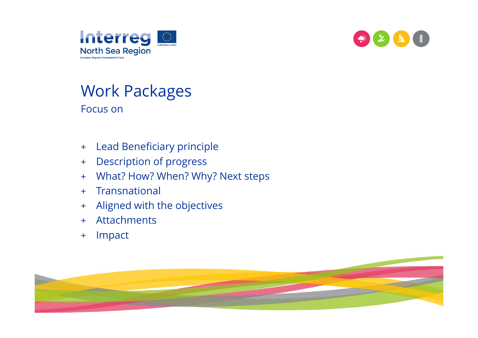



#### Work Packages Focus on

- $+$ Lead Beneficiary principle
- $+$ Description of progress
- +What? How? When? Why? Next steps
- $+$ **Transnational**
- +Aligned with the objectives
- $+$ Attachments
- $+$ Impact

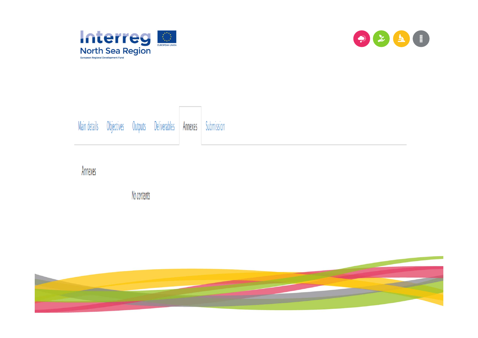





Annexes

No contents

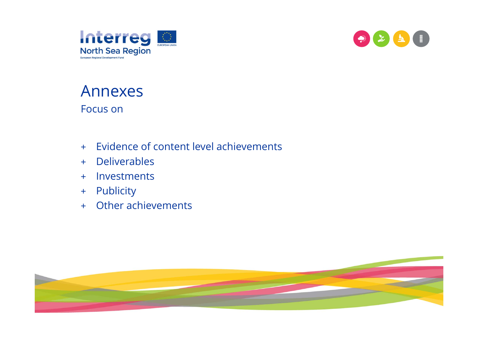



#### Annexes Focus on

- + Evidence of content level achievements
- + Deliverables
- + Investments
- + Publicity
- + Other achievements

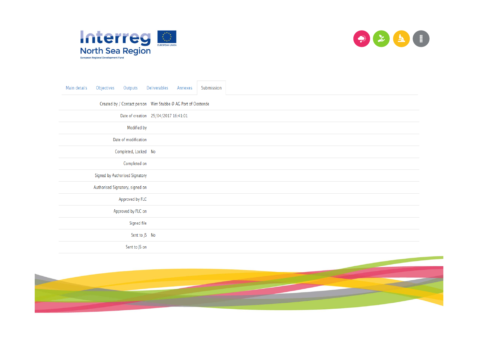



| Main details<br>Outputs<br>Objectives | Submission<br>Deliverables<br>Annexes                        |  |
|---------------------------------------|--------------------------------------------------------------|--|
|                                       | Created by / Contact person Wim Stubbe @ AG Port of Oostende |  |
|                                       | Date of creation 25/04/2017 16:41:01                         |  |
| Modified by                           |                                                              |  |
| Date of modification                  |                                                              |  |
| Completed, Locked No                  |                                                              |  |
| Completed on                          |                                                              |  |
| Signed by Authorised Signatory        |                                                              |  |
| Authorised Signatory, signed on       |                                                              |  |
| Approved by FLC                       |                                                              |  |
| Approved by FLC on                    |                                                              |  |
| Signed file                           |                                                              |  |
| Sent to JS No                         |                                                              |  |
| Sent to JS on                         |                                                              |  |

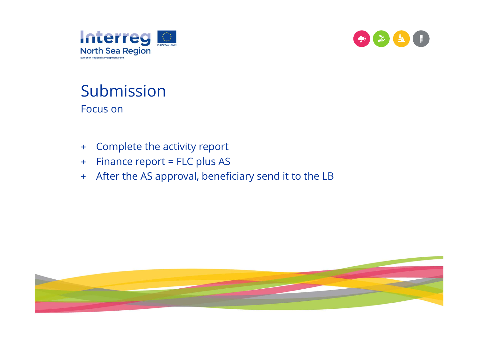



#### Submission Focus on

- $+$ Complete the activity report
- $+$ Finance report = FLC plus AS
- + After the AS approval, beneficiary send it to the LB

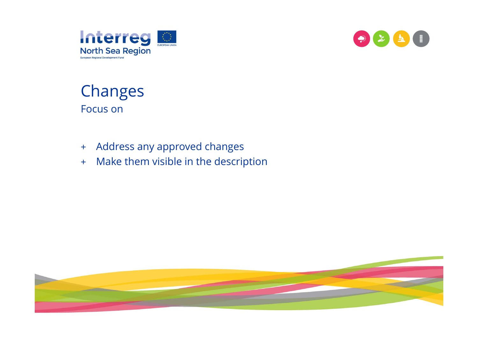



### Changes Focus on

- + Address any approved changes
- + Make them visible in the description

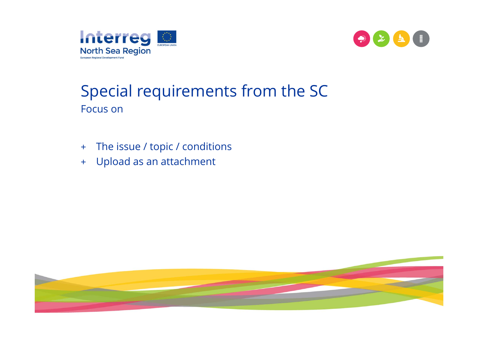



## Special requirements from the SC Focus on

- $+$ The issue / topic / conditions
- + Upload as an attachment